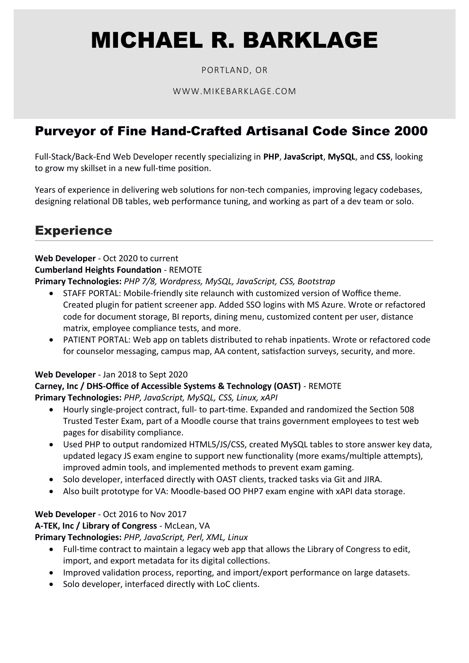# MICHAEL R. BARKLAGE

## PORTLAND, OR

#### WWW.MIKEBARKLAGE.COM

# Purveyor of Fine Hand-Crafted Artisanal Code Since 2000

Full-Stack/Back-End Web Developer recently specializing in **PHP**, **JavaScript**, **MySQL**, and **CSS**, looking to grow my skillset in a new full-time position.

Years of experience in delivering web solutions for non-tech companies, improving legacy codebases, designing relational DB tables, web performance tuning, and working as part of a dev team or solo.

# **Experience**

**Web Developer** - Oct 2020 to current **Cumberland Heights Foundation** - REMOTE **Primary Technologies:** *PHP 7/8, Wordpress, MySQL, JavaScript, CSS, Bootstrap*

- STAFF PORTAL: Mobile-friendly site relaunch with customized version of Woffice theme. Created plugin for patient screener app. Added SSO logins with MS Azure. Wrote or refactored code for document storage, BI reports, dining menu, customized content per user, distance matrix, employee compliance tests, and more.
- PATIENT PORTAL: Web app on tablets distributed to rehab inpatients. Wrote or refactored code for counselor messaging, campus map, AA content, satisfaction surveys, security, and more.

#### **Web Developer** - Jan 2018 to Sept 2020

## **Carney, Inc / DHS-Office of Accessible Systems & Technology (OAST)** - REMOTE

**Primary Technologies:** *PHP, JavaScript, MySQL, CSS, Linux, xAPI*

- Hourly single-project contract, full- to part-time. Expanded and randomized the Section 508 Trusted Tester Exam, part of a Moodle course that trains government employees to test web pages for disability compliance.
- Used PHP to output randomized HTML5/JS/CSS, created MySQL tables to store answer key data, updated legacy JS exam engine to support new functionality (more exams/multiple attempts), improved admin tools, and implemented methods to prevent exam gaming.
- Solo developer, interfaced directly with OAST clients, tracked tasks via Git and JIRA.
- Also built prototype for VA: Moodle-based OO PHP7 exam engine with xAPI data storage.

## **Web Developer** - Oct 2016 to Nov 2017

**A-TEK, Inc / Library of Congress** - McLean, VA

**Primary Technologies:** *PHP, JavaScript, Perl, XML, Linux*

- Full-time contract to maintain a legacy web app that allows the Library of Congress to edit, import, and export metadata for its digital collections.
- Improved validation process, reporting, and import/export performance on large datasets.
- Solo developer, interfaced directly with LoC clients.